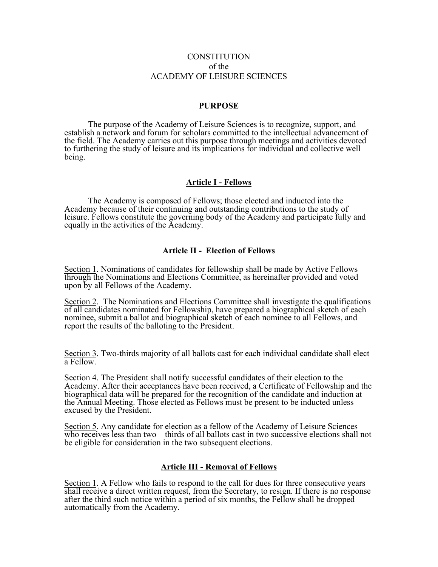### **CONSTITUTION** of the ACADEMY OF LEISURE SCIENCES

#### **PURPOSE**

The purpose of the Academy of Leisure Sciences is to recognize, support, and establish a network and forum for scholars committed to the intellectual advancement of the field. The Academy carries out this purpose through meetings and activities devoted to furthering the study of leisure and its implications for individual and collective well being.

### **Article I - Fellows**

The Academy is composed of Fellows; those elected and inducted into the Academy because of their continuing and outstanding contributions to the study of leisure. Fellows constitute the governing body of the Academy and participate fully and equally in the activities of the Academy.

#### **Article II - Election of Fellows**

Section 1. Nominations of candidates for fellowship shall be made by Active Fellows through the Nominations and Elections Committee, as hereinafter provided and voted upon by all Fellows of the Academy.

Section 2. The Nominations and Elections Committee shall investigate the qualifications of all candidates nominated for Fellowship, have prepared a biographical sketch of each nominee, submit a ballot and biographical sketch of each nominee to all Fellows, and report the results of the balloting to the President.

Section 3. Two-thirds majority of all ballots cast for each individual candidate shall elect a Fellow.

Section 4. The President shall notify successful candidates of their election to the Academy. After their acceptances have been received, a Certificate of Fellowship and the biographical data will be prepared for the recognition of the candidate and induction at the Annual Meeting. Those elected as Fellows must be present to be inducted unless excused by the President.

Section 5. Any candidate for election as a fellow of the Academy of Leisure Sciences who receives less than two—thirds of all ballots cast in two successive elections shall not be eligible for consideration in the two subsequent elections.

#### **Article III - Removal of Fellows**

Section 1. A Fellow who fails to respond to the call for dues for three consecutive years shall receive a direct written request, from the Secretary, to resign. If there is no response after the third such notice within a period of six months, the Fellow shall be dropped automatically from the Academy.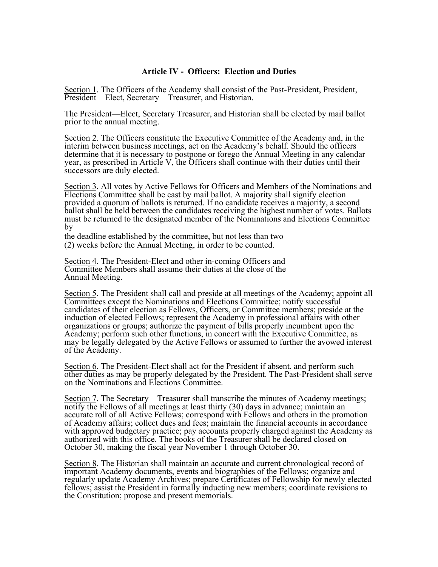### **Article IV - Officers: Election and Duties**

Section 1. The Officers of the Academy shall consist of the Past-President, President, President—Elect, Secretary—Treasurer, and Historian.

The President—Elect, Secretary Treasurer, and Historian shall be elected by mail ballot prior to the annual meeting.

Section 2. The Officers constitute the Executive Committee of the Academy and, in the interim between business meetings, act on the Academy's behalf. Should the officers determine that it is necessary to postpone or forego the Annual Meeting in any calendar year, as prescribed in Article V, the Officers shall continue with their duties until their successors are duly elected.

Section 3. All votes by Active Fellows for Officers and Members of the Nominations and Elections Committee shall be cast by mail ballot. A majority shall signify election provided a quorum of ballots is returned. If no candidate receives a majority, a second ballot shall be held between the candidates receiving the highest number of votes. Ballots must be returned to the designated member of the Nominations and Elections Committee by

the deadline established by the committee, but not less than two (2) weeks before the Annual Meeting, in order to be counted.

Section 4. The President-Elect and other in-coming Officers and Committee Members shall assume their duties at the close of the Annual Meeting.

Section 5. The President shall call and preside at all meetings of the Academy; appoint all Committees except the Nominations and Elections Committee; notify successful candidates of their election as Fellows, Officers, or Committee members; preside at the induction of elected Fellows; represent the Academy in professional affairs with other organizations or groups; authorize the payment of bills properly incumbent upon the Academy; perform such other functions, in concert with the Executive Committee, as may be legally delegated by the Active Fellows or assumed to further the avowed interest of the Academy.

Section 6. The President-Elect shall act for the President if absent, and perform such other duties as may be properly delegated by the President. The Past-President shall serve on the Nominations and Elections Committee.

Section 7. The Secretary—Treasurer shall transcribe the minutes of Academy meetings; notify the Fellows of all meetings at least thirty (30) days in advance; maintain an accurate roll of all Active Fellows; correspond with Fellows and others in the promotion of Academy affairs; collect dues and fees; maintain the financial accounts in accordance with approved budgetary practice; pay accounts properly charged against the Academy as authorized with this office. The books of the Treasurer shall be declared closed on October 30, making the fiscal year November 1 through October 30.

Section 8. The Historian shall maintain an accurate and current chronological record of important Academy documents, events and biographies of the Fellows; organize and regularly update Academy Archives; prepare Certificates of Fellowship for newly elected fellows; assist the President in formally inducting new members; coordinate revisions to the Constitution; propose and present memorials.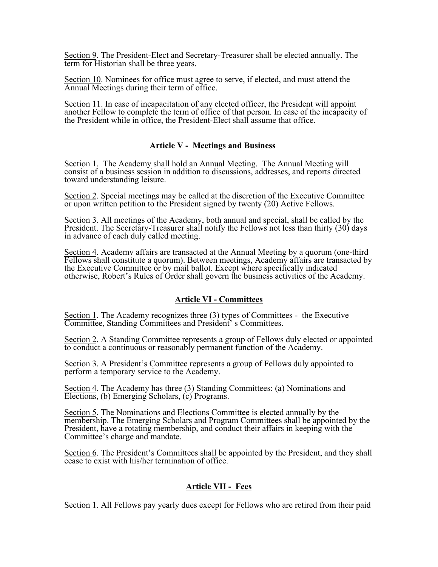Section 9. The President-Elect and Secretary-Treasurer shall be elected annually. The term for Historian shall be three years.

Section 10. Nominees for office must agree to serve, if elected, and must attend the Annual Meetings during their term of office.

Section 11. In case of incapacitation of any elected officer, the President will appoint another Fellow to complete the term of office of that person. In case of the incapacity of the President while in office, the President-Elect shall assume that office.

## **Article V - Meetings and Business**

Section 1. The Academy shall hold an Annual Meeting. The Annual Meeting will consist of a business session in addition to discussions, addresses, and reports directed toward understanding leisure.

Section 2. Special meetings may be called at the discretion of the Executive Committee or upon written petition to the President signed by twenty (20) Active Fellows.

Section 3. All meetings of the Academy, both annual and special, shall be called by the President. The Secretary-Treasurer shall notify the Fellows not less than thirty (30) days in advance of each duly called meeting.

Section 4. Academy affairs are transacted at the Annual Meeting by a quorum (one-third Fellows shall constitute a quorum). Between meetings, Academy affairs are transacted by the Executive Committee or by mail ballot. Except where specifically indicated otherwise, Robert's Rules of Order shall govern the business activities of the Academy.

# **Article VI - Committees**

Section 1. The Academy recognizes three (3) types of Committees - the Executive Committee, Standing Committees and President' s Committees.

Section 2. A Standing Committee represents a group of Fellows duly elected or appointed to conduct a continuous or reasonably permanent function of the Academy.

Section 3. A President's Committee represents a group of Fellows duly appointed to perform a temporary service to the Academy.

Section 4. The Academy has three (3) Standing Committees: (a) Nominations and Elections, (b) Emerging Scholars, (c) Programs.

Section 5. The Nominations and Elections Committee is elected annually by the membership. The Emerging Scholars and Program Committees shall be appointed by the President, have a rotating membership, and conduct their affairs in keeping with the Committee's charge and mandate.

Section 6. The President's Committees shall be appointed by the President, and they shall cease to exist with his/her termination of office.

# **Article VII - Fees**

Section 1. All Fellows pay yearly dues except for Fellows who are retired from their paid